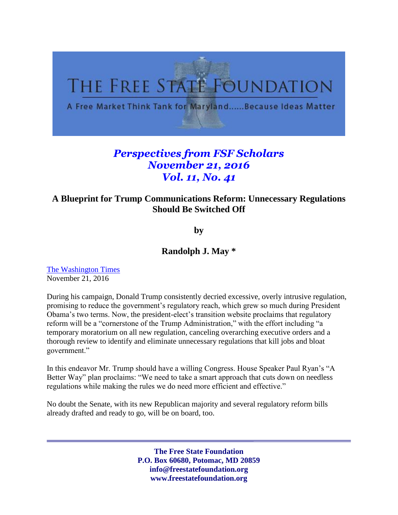

## *Perspectives from FSF Scholars November 21, 2016 Vol. 11, No. 41*

## **A Blueprint for Trump Communications Reform: Unnecessary Regulations Should Be Switched Off**

**by**

## **Randolph J. May \***

[The Washington Times](http://www.washingtontimes.com/news/2016/nov/21/a-blueprint-for-donald-trump-communications-reform/) November 21, 2016

During his campaign, Donald Trump consistently decried excessive, overly intrusive regulation, promising to reduce the government's regulatory reach, which grew so much during President Obama's two terms. Now, the president-elect's transition website proclaims that regulatory reform will be a "cornerstone of the Trump Administration," with the effort including "a temporary moratorium on all new regulation, canceling overarching executive orders and a thorough review to identify and eliminate unnecessary regulations that kill jobs and bloat government."

In this endeavor Mr. Trump should have a willing Congress. House Speaker Paul Ryan's "A Better Way" plan proclaims: "We need to take a smart approach that cuts down on needless regulations while making the rules we do need more efficient and effective."

No doubt the Senate, with its new Republican majority and several regulatory reform bills already drafted and ready to go, will be on board, too.

> **The Free State Foundation P.O. Box 60680, Potomac, MD 20859 info@freestatefoundation.org www.freestatefoundation.org**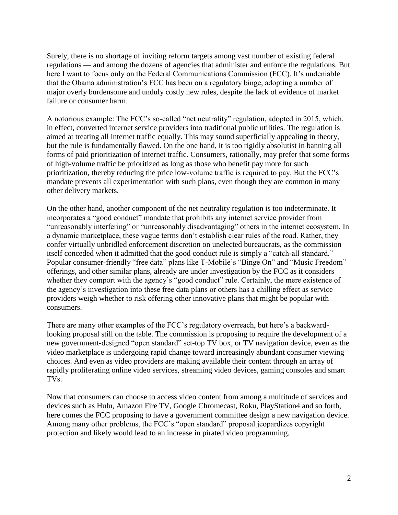Surely, there is no shortage of inviting reform targets among vast number of existing federal regulations — and among the dozens of agencies that administer and enforce the regulations. But here I want to focus only on the Federal Communications Commission (FCC). It's undeniable that the Obama administration's FCC has been on a regulatory binge, adopting a number of major overly burdensome and unduly costly new rules, despite the lack of evidence of market failure or consumer harm.

A notorious example: The FCC's so-called "net neutrality" regulation, adopted in 2015, which, in effect, converted internet service providers into traditional public utilities. The regulation is aimed at treating all internet traffic equally. This may sound superficially appealing in theory, but the rule is fundamentally flawed. On the one hand, it is too rigidly absolutist in banning all forms of paid prioritization of internet traffic. Consumers, rationally, may prefer that some forms of high-volume traffic be prioritized as long as those who benefit pay more for such prioritization, thereby reducing the price low-volume traffic is required to pay. But the FCC's mandate prevents all experimentation with such plans, even though they are common in many other delivery markets.

On the other hand, another component of the net neutrality regulation is too indeterminate. It incorporates a "good conduct" mandate that prohibits any internet service provider from "unreasonably interfering" or "unreasonably disadvantaging" others in the internet ecosystem. In a dynamic marketplace, these vague terms don't establish clear rules of the road. Rather, they confer virtually unbridled enforcement discretion on unelected bureaucrats, as the commission itself conceded when it admitted that the good conduct rule is simply a "catch-all standard." Popular consumer-friendly "free data" plans like T-Mobile's "Binge On" and "Music Freedom" offerings, and other similar plans, already are under investigation by the FCC as it considers whether they comport with the agency's "good conduct" rule. Certainly, the mere existence of the agency's investigation into these free data plans or others has a chilling effect as service providers weigh whether to risk offering other innovative plans that might be popular with consumers.

There are many other examples of the FCC's regulatory overreach, but here's a backwardlooking proposal still on the table. The commission is proposing to require the development of a new government-designed "open standard" set-top TV box, or TV navigation device, even as the video marketplace is undergoing rapid change toward increasingly abundant consumer viewing choices. And even as video providers are making available their content through an array of rapidly proliferating online video services, streaming video devices, gaming consoles and smart TVs.

Now that consumers can choose to access video content from among a multitude of services and devices such as Hulu, Amazon Fire TV, Google Chromecast, Roku, PlayStation4 and so forth, here comes the FCC proposing to have a government committee design a new navigation device. Among many other problems, the FCC's "open standard" proposal jeopardizes copyright protection and likely would lead to an increase in pirated video programming.